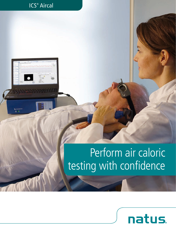# Perform air caloric testing with confidence

ICS® Aircal

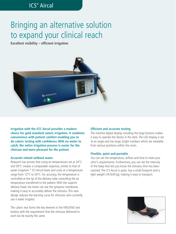## Bringing an alternative solution to expand your clinical reach

**Excellent visibility – efficient irrigation**



**Irrigation with the ICS® Aircal provides a modern choice for gold standard caloric irrigation. It combines convenience with patient comfort enabling you to do caloric testing with confidence. With no water to catch, the entire irrigation process is easier for the clinician and more pleasant for the patient.**

#### **Accurate stimuli without water**

Research has proven that using air temperatures set at 24°C and 50°C creates a comparable response, similar to that of water irrigation.\* ICS Aircal heats and cools at a temperature range from 12°C to 50°C. For accuracy, the temperature is controlled at the tip of the delivery tube controlling the air temperature transferred to the patient. With the superior delivery head, the tester can see the tympanic membrane, making it easy to accurately deliver the stimulus. This new design reduces the learning curve for clinicians who currently use a water irrigator.

The caloric test forms the key element in the VNG/ENG test battery with the requirement that the stimulus delivered to each ear be exactly the same.

#### **Efficient and accurate testing**

The intuitive digital display including the large buttons makes it easy to operate the device in the dark. The LED display is set at an angle and has large, bright numbers which are viewable from various positions within the room.

#### **Flexible, quiet and portable**

You can set the temperature, airflow and time to meet your clinic's requirements. Furthermore, you can set the intensity of the beep that lets you know the stimulus time has been reached. The ICS Aircal is quiet, has a small footprint and is light weight (18 lb/8 kg), making it easy to transport.

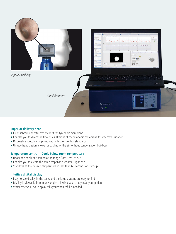

#### **Superior delivery head**

- Fully-lighted, unobstructed view of the tympanic membrane
- Enables you to direct the flow of air straight at the tympanic membrane for effective irrigation
- Disposable specula complying with infection control standards
- Unique head design allows for cooling of the air without condensation build-up

#### **Temperature control – Cools below room temperature**

- Heats and cools at a temperature range from 12°C to 50°C
- Enables you to create the same response as water irrigation\*
- Stabilizes at the desired temperature in less than 60 seconds of start-up

#### **Intuitive digital display**

- Easy-to-see display in the dark, and the large buttons are easy to find
- Display is viewable from many angles allowing you to stay near your patient
- Water reservoir level display tells you when refill is needed